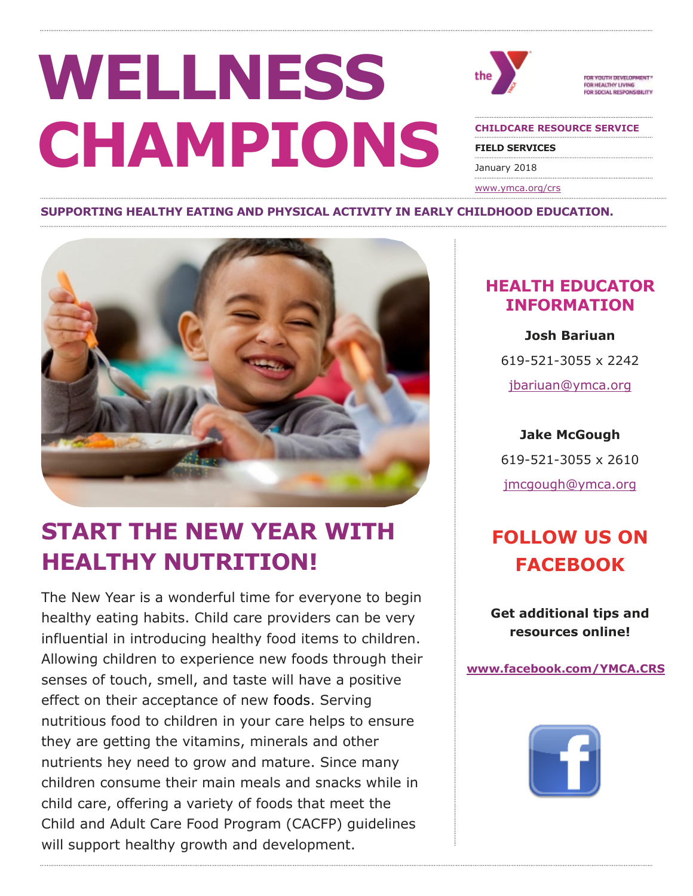# **WELLNESS CHAMPIONS**



YOUTH DEVELOPMENT FOR HEALTHY LIVING R SOCIAL RESPONSIBILITY

**CHILDCARE RESOURCE SERVICE**

**FIELD SERVICES**

January 2018

[www.ymca.org/crs](http://www.ymca.org/crs)

#### **SUPPORTING HEALTHY EATING AND PHYSICAL ACTIVITY IN EARLY CHILDHOOD EDUCATION.**



# **START THE NEW YEAR WITH HEALTHY NUTRITION!**

The New Year is a wonderful time for everyone to begin healthy eating habits. Child care providers can be very influential in introducing healthy food items to children. Allowing children to experience new foods through their senses of touch, smell, and taste will have a positive effect on their acceptance of new foods. Serving nutritious food to children in your care helps to ensure they are getting the vitamins, minerals and other nutrients hey need to grow and mature. Since many children consume their main meals and snacks while in child care, offering a variety of foods that meet the Child and Adult Care Food Program (CACFP) guidelines will support healthy growth and development.

#### **HEALTH EDUCATOR INFORMATION**

**Josh Bariuan**  619-521-3055 x 2242 [jbariuan@ymca.org](mailto:jbariuan@ymca.org)

**Jake McGough** 619-521-3055 x 2610

[jmcgough@ymca.org](mailto:jmcgough@ymca.org)

## **FOLLOW US ON FACEBOOK**

**Get additional tips and resources online!** 

**[www.facebook.com/YMCA.CRS](http://www.facebook.com/YMCA.CRS)**

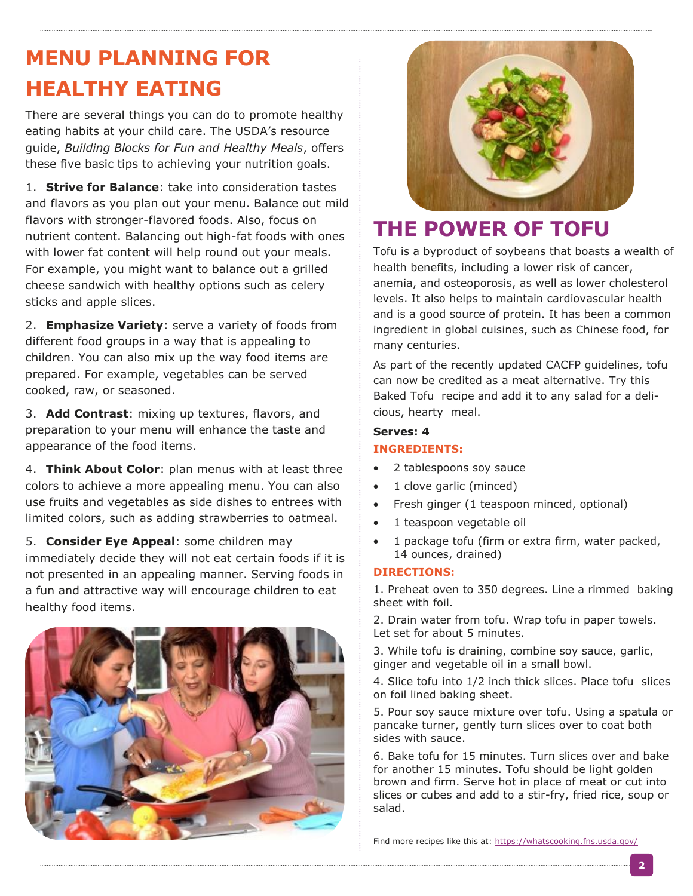# **MENU PLANNING FOR HEALTHY EATING**

There are several things you can do to promote healthy eating habits at your child care. The USDA's resource guide, *Building Blocks for Fun and Healthy Meals*, offers these five basic tips to achieving your nutrition goals.

1. **Strive for Balance**: take into consideration tastes and flavors as you plan out your menu. Balance out mild flavors with stronger-flavored foods. Also, focus on nutrient content. Balancing out high-fat foods with ones with lower fat content will help round out your meals. For example, you might want to balance out a grilled cheese sandwich with healthy options such as celery sticks and apple slices.

2. **Emphasize Variety**: serve a variety of foods from different food groups in a way that is appealing to children. You can also mix up the way food items are prepared. For example, vegetables can be served cooked, raw, or seasoned.

3. **Add Contrast**: mixing up textures, flavors, and preparation to your menu will enhance the taste and appearance of the food items.

4. **Think About Color**: plan menus with at least three colors to achieve a more appealing menu. You can also use fruits and vegetables as side dishes to entrees with limited colors, such as adding strawberries to oatmeal.

5. **Consider Eye Appeal**: some children may immediately decide they will not eat certain foods if it is not presented in an appealing manner. Serving foods in a fun and attractive way will encourage children to eat healthy food items.





## **THE POWER OF TOFU**

Tofu is a byproduct of soybeans that boasts a wealth of health benefits, including a lower risk of cancer, anemia, and osteoporosis, as well as lower cholesterol levels. It also helps to maintain cardiovascular health and is a good source of protein. It has been a common ingredient in global cuisines, such as Chinese food, for many centuries.

As part of the recently updated CACFP guidelines, tofu can now be credited as a meat alternative. Try this Baked Tofu recipe and add it to any salad for a delicious, hearty meal.

#### **Serves: 4 INGREDIENTS:**

- 2 tablespoons soy sauce
- 1 clove garlic (minced)
- Fresh ginger (1 teaspoon minced, optional)
- 1 teaspoon vegetable oil
- 1 package tofu (firm or extra firm, water packed, 14 ounces, drained)

#### **DIRECTIONS:**

1. Preheat oven to 350 degrees. Line a rimmed baking sheet with foil.

2. Drain water from tofu. Wrap tofu in paper towels. Let set for about 5 minutes.

3. While tofu is draining, combine soy sauce, garlic, ginger and vegetable oil in a small bowl.

4. Slice tofu into 1/2 inch thick slices. Place tofu slices on foil lined baking sheet.

5. Pour soy sauce mixture over tofu. Using a spatula or pancake turner, gently turn slices over to coat both sides with sauce.

6. Bake tofu for 15 minutes. Turn slices over and bake for another 15 minutes. Tofu should be light golden brown and firm. Serve hot in place of meat or cut into slices or cubes and add to a stir-fry, fried rice, soup or salad.

Find more recipes like this at:<https://whatscooking.fns.usda.gov/>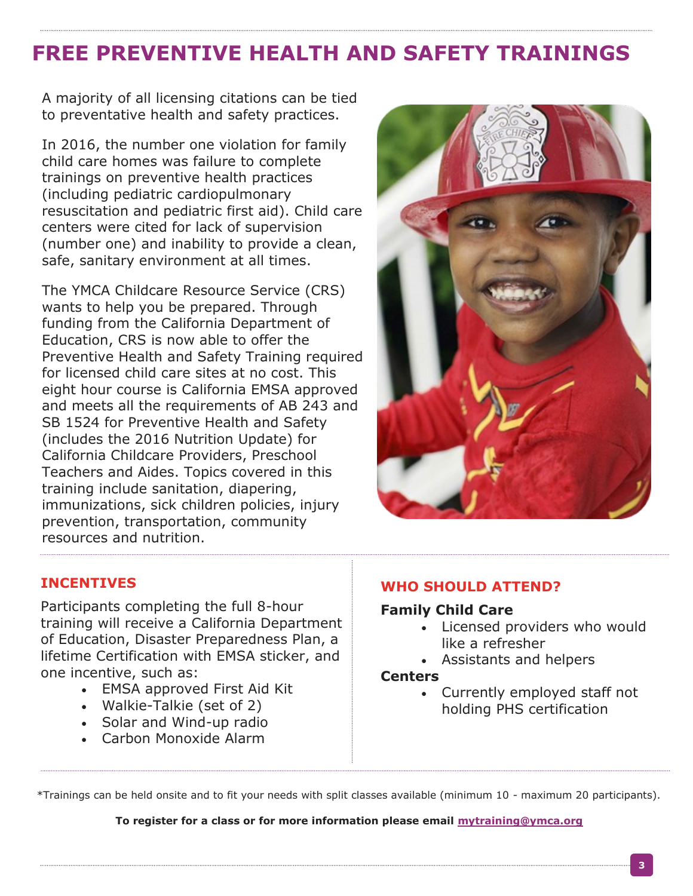## **FREE PREVENTIVE HEALTH AND SAFETY TRAININGS**

A majority of all licensing citations can be tied to preventative health and safety practices.

In 2016, the number one violation for family child care homes was failure to complete trainings on preventive health practices (including pediatric cardiopulmonary resuscitation and pediatric first aid). Child care centers were cited for lack of supervision (number one) and inability to provide a clean, safe, sanitary environment at all times.

The YMCA Childcare Resource Service (CRS) wants to help you be prepared. Through funding from the California Department of Education, CRS is now able to offer the Preventive Health and Safety Training required for licensed child care sites at no cost. This eight hour course is California EMSA approved and meets all the requirements of AB 243 and SB 1524 for Preventive Health and Safety (includes the 2016 Nutrition Update) for California Childcare Providers, Preschool Teachers and Aides. Topics covered in this training include sanitation, diapering, immunizations, sick children policies, injury prevention, transportation, community resources and nutrition.



#### **INCENTIVES**

Participants completing the full 8-hour training will receive a California Department of Education, Disaster Preparedness Plan, a lifetime Certification with EMSA sticker, and one incentive, such as:

- EMSA approved First Aid Kit
- Walkie-Talkie (set of 2)
- Solar and Wind-up radio
- Carbon Monoxide Alarm

#### **WHO SHOULD ATTEND?**

#### **Family Child Care**

- Licensed providers who would like a refresher
- Assistants and helpers

#### **Centers**

 Currently employed staff not holding PHS certification

\*Trainings can be held onsite and to fit your needs with split classes available (minimum 10 - maximum 20 participants).

**To register for a class or for more information please email [mytraining@ymca.org](mailto:mytraining@ymca.org)**